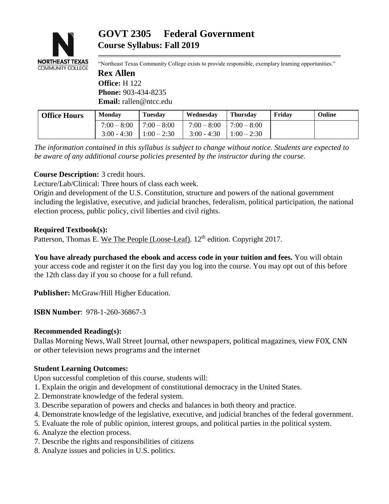

"Northeast Texas Community College exists to provide responsible, exemplary learning opportunities." **Rex Allen Office:** H 122

**Phone:** 903-434-8235 **Email:** rallen@ntcc.edu

| <b>Office Hours</b> | <b>Monday</b> | <b>Tuesday</b> | Wednesday     | <b>Thursday</b> | Fridav | Online |
|---------------------|---------------|----------------|---------------|-----------------|--------|--------|
|                     | $7:00 - 8:00$ | $7:00 - 8:00$  | $7:00 - 8:00$ | $7:00 - 8:00$   |        |        |
|                     | $3:00 - 4:30$ | $1:00 - 2:30$  | $3:00 - 4:30$ | $1:00 - 2:30$   |        |        |

*The information contained in this syllabus is subject to change without notice. Students are expected to be aware of any additional course policies presented by the instructor during the course.* 

## **Course Description:** 3 credit hours.

Lecture/Lab/Clinical: Three hours of class each week.

Origin and development of the U.S. Constitution, structure and powers of the national government including the legislative, executive, and judicial branches, federalism, political participation, the national election process, public policy, civil liberties and civil rights.

#### **Required Textbook(s):**

Patterson, Thomas E. We The People (Loose-Leaf). 12<sup>th</sup> edition. Copyright 2017.

**You have already purchased the ebook and access code in your tuition and fees.** You will obtain your access code and register it on the first day you log into the course. You may opt out of this before the 12th class day if you so choose for a full refund.

**Publisher:** McGraw/Hill Higher Education.

**ISBN Number**: 978-1-260-36867-3

## **Recommended Reading(s):**

Dallas Morning News, Wall Street Journal, other newspapers, political magazines, view FOX, CNN or other television news programs and the internet

## **Student Learning Outcomes:**

Upon successful completion of this course, students will:

- 1. Explain the origin and development of constitutional democracy in the United States.
- 2. Demonstrate knowledge of the federal system.
- 3. Describe separation of powers and checks and balances in both theory and practice.
- 4. Demonstrate knowledge of the legislative, executive, and judicial branches of the federal government.
- 5. Evaluate the role of public opinion, interest groups, and political parties in the political system.
- 6. Analyze the election process.
- 7. Describe the rights and responsibilities of citizens
- 8. Analyze issues and policies in U.S. politics.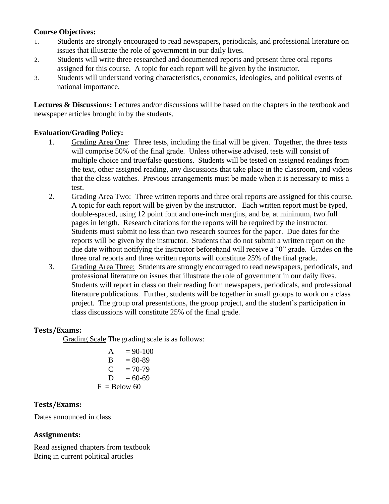## **Course Objectives:**

- 1. Students are strongly encouraged to read newspapers, periodicals, and professional literature on issues that illustrate the role of government in our daily lives.
- 2. Students will write three researched and documented reports and present three oral reports assigned for this course. A topic for each report will be given by the instructor.
- 3. Students will understand voting characteristics, economics, ideologies, and political events of national importance.

**Lectures & Discussions:** Lectures and/or discussions will be based on the chapters in the textbook and newspaper articles brought in by the students.

## **Evaluation/Grading Policy:**

- 1. Grading Area One: Three tests, including the final will be given. Together, the three tests will comprise 50% of the final grade. Unless otherwise advised, tests will consist of multiple choice and true/false questions. Students will be tested on assigned readings from the text, other assigned reading, any discussions that take place in the classroom, and videos that the class watches. Previous arrangements must be made when it is necessary to miss a test.
- 2. Grading Area Two: Three written reports and three oral reports are assigned for this course. A topic for each report will be given by the instructor. Each written report must be typed, double-spaced, using 12 point font and one-inch margins, and be, at minimum, two full pages in length. Research citations for the reports will be required by the instructor. Students must submit no less than two research sources for the paper. Due dates for the reports will be given by the instructor. Students that do not submit a written report on the due date without notifying the instructor beforehand will receive a "0" grade. Grades on the three oral reports and three written reports will constitute 25% of the final grade.
- 3. Grading Area Three: Students are strongly encouraged to read newspapers, periodicals, and professional literature on issues that illustrate the role of government in our daily lives. Students will report in class on their reading from newspapers, periodicals, and professional literature publications. Further, students will be together in small groups to work on a class project. The group oral presentations, the group project, and the student's participation in class discussions will constitute 25% of the final grade.

#### **Tests/Exams:**

Grading Scale The grading scale is as follows:

A = 90-100 B = 80-89 C = 70-79 D = 60-69 F = Below 60

## **Tests/Exams:**

Dates announced in class

## **Assignments:**

Read assigned chapters from textbook Bring in current political articles